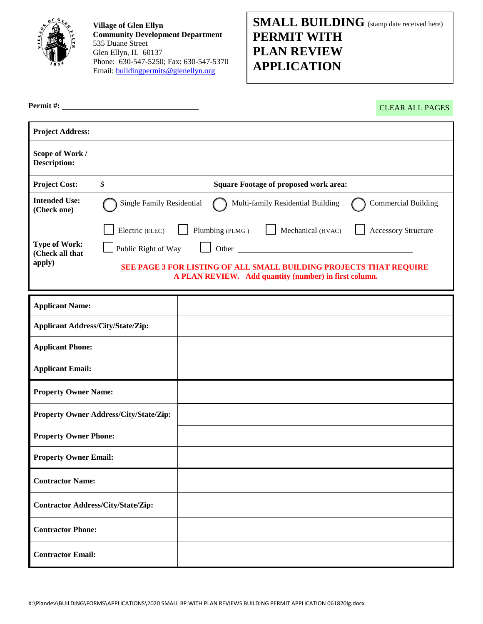

**Village of Glen Ellyn Community Development Department** 535 Duane Street Glen Ellyn, IL 60137 Phone: 630-547-5250; Fax: 630-547-5370 Email: [buildingpermits@glenellyn.org](mailto:buildingpermits@glenellyn.org)

# **SMALL BUILDING** (stamp date received here) **PERMIT WITH PLAN REVIEW APPLICATION**

**Permit #:** 

CLEAR ALL PAGES

| <b>Project Address:</b>                           |                                                                                                                                                                                                                                                      |  |  |  |  |  |
|---------------------------------------------------|------------------------------------------------------------------------------------------------------------------------------------------------------------------------------------------------------------------------------------------------------|--|--|--|--|--|
| Scope of Work /<br><b>Description:</b>            |                                                                                                                                                                                                                                                      |  |  |  |  |  |
| <b>Project Cost:</b>                              | \$<br><b>Square Footage of proposed work area:</b>                                                                                                                                                                                                   |  |  |  |  |  |
| <b>Intended Use:</b><br>(Check one)               | Single Family Residential<br><b>Commercial Building</b><br>Multi-family Residential Building                                                                                                                                                         |  |  |  |  |  |
| <b>Type of Work:</b><br>(Check all that<br>apply) | Mechanical (HVAC)<br>Electric (ELEC)<br>Plumbing (PLMG)<br><b>Accessory Structure</b><br>Public Right of Way<br>Other<br>SEE PAGE 3 FOR LISTING OF ALL SMALL BUILDING PROJECTS THAT REQUIRE<br>A PLAN REVIEW. Add quantity (number) in first column. |  |  |  |  |  |
| <b>Applicant Name:</b>                            |                                                                                                                                                                                                                                                      |  |  |  |  |  |
| <b>Applicant Address/City/State/Zip:</b>          |                                                                                                                                                                                                                                                      |  |  |  |  |  |
| <b>Applicant Phone:</b>                           |                                                                                                                                                                                                                                                      |  |  |  |  |  |
| <b>Applicant Email:</b>                           |                                                                                                                                                                                                                                                      |  |  |  |  |  |
| <b>Property Owner Name:</b>                       |                                                                                                                                                                                                                                                      |  |  |  |  |  |
| Property Owner Address/City/State/Zip:            |                                                                                                                                                                                                                                                      |  |  |  |  |  |
| <b>Property Owner Phone:</b>                      |                                                                                                                                                                                                                                                      |  |  |  |  |  |
| <b>Property Owner Email:</b>                      |                                                                                                                                                                                                                                                      |  |  |  |  |  |
| <b>Contractor Name:</b>                           |                                                                                                                                                                                                                                                      |  |  |  |  |  |
| <b>Contractor Address/City/State/Zip:</b>         |                                                                                                                                                                                                                                                      |  |  |  |  |  |
| <b>Contractor Phone:</b>                          |                                                                                                                                                                                                                                                      |  |  |  |  |  |
| <b>Contractor Email:</b>                          |                                                                                                                                                                                                                                                      |  |  |  |  |  |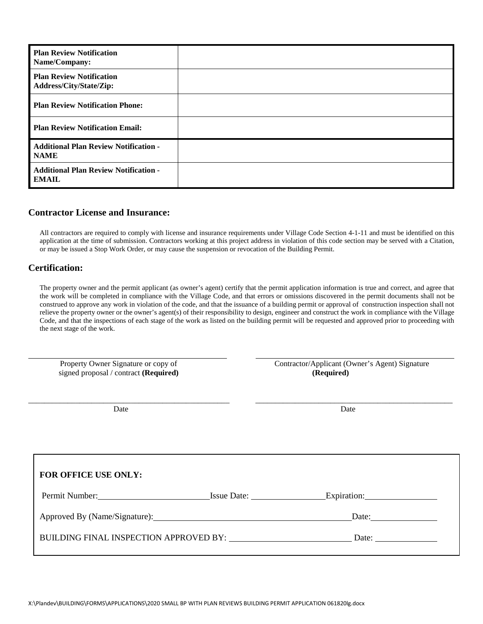| <b>Plan Review Notification</b><br>Name/Company:             |  |
|--------------------------------------------------------------|--|
| <b>Plan Review Notification</b><br>Address/City/State/Zip:   |  |
| <b>Plan Review Notification Phone:</b>                       |  |
| <b>Plan Review Notification Email:</b>                       |  |
| <b>Additional Plan Review Notification -</b><br><b>NAME</b>  |  |
| <b>Additional Plan Review Notification -</b><br><b>EMAIL</b> |  |

#### **Contractor License and Insurance:**

All contractors are required to comply with license and insurance requirements under Village Code Section 4-1-11 and must be identified on this application at the time of submission. Contractors working at this project address in violation of this code section may be served with a Citation, or may be issued a Stop Work Order, or may cause the suspension or revocation of the Building Permit.

#### **Certification:**

 $\overline{a}$ 

The property owner and the permit applicant (as owner's agent) certify that the permit application information is true and correct, and agree that the work will be completed in compliance with the Village Code, and that errors or omissions discovered in the permit documents shall not be construed to approve any work in violation of the code, and that the issuance of a building permit or approval of construction inspection shall not relieve the property owner or the owner's agent(s) of their responsibility to design, engineer and construct the work in compliance with the Village Code, and that the inspections of each stage of the work as listed on the building permit will be requested and approved prior to proceeding with the next stage of the work.

| Property Owner Signature or copy of<br>signed proposal / contract (Required) |  | Contractor/Applicant (Owner's Agent) Signature<br>(Required) |  |  |
|------------------------------------------------------------------------------|--|--------------------------------------------------------------|--|--|
| Date                                                                         |  | Date                                                         |  |  |
| FOR OFFICE USE ONLY:                                                         |  |                                                              |  |  |
|                                                                              |  |                                                              |  |  |
| Approved By (Name/Signature):                                                |  | Date:                                                        |  |  |
|                                                                              |  | Date: $\frac{1}{\sqrt{1-\frac{1}{2}} \cdot \frac{1}{2}}$     |  |  |